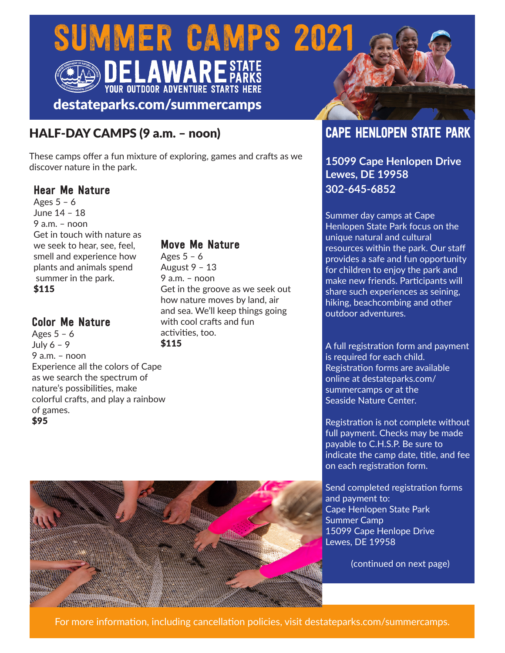# SUMMER CAMPS 2021



# destateparks.com/summercamps

# HALF-DAY CAMPS (9 a.m. – noon)

These camps offer a fun mixture of exploring, games and crafts as we discover nature in the park.

#### Hear Me Nature

Ages  $5 - 6$ June 14 – 18  $9$  a.m. – noon Get in touch with nature as we seek to hear, see, feel, smell and experience how plants and animals spend summer in the park. \$115

## Color Me Nature

Ages 5 – 6 July 6 – 9 9 a.m. – noon Experience all the colors of Cape as we search the spectrum of nature's possibilities, make colorful crafts, and play a rainbow of games. \$95

# Move Me Nature

Ages  $5 - 6$ August 9 – 13  $9$  a.m. – noon Get in the groove as we seek out how nature moves by land, air and sea. We'll keep things going with cool crafts and fun activities, too. \$115

# CAPE HENLOPEN STATE PARK

**15099 Cape Henlopen Drive Lewes, DE 19958 302-645-6852**

Summer day camps at Cape Henlopen State Park focus on the unique natural and cultural resources within the park. Our staff provides a safe and fun opportunity for children to enjoy the park and make new friends. Participants will share such experiences as seining, hiking, beachcombing and other outdoor adventures.

A full registration form and payment is required for each child. Registration forms are available online at destateparks.com/ summercamps or at the Seaside Nature Center.

Registration is not complete without full payment. Checks may be made payable to C.H.S.P. Be sure to indicate the camp date, title, and fee on each registration form.

Send completed registration forms and payment to: Cape Henlopen State Park Summer Camp 15099 Cape Henlope Drive Lewes, DE 19958

(continued on next page)



For more information, including cancellation policies, visit destateparks.com/summercamps.